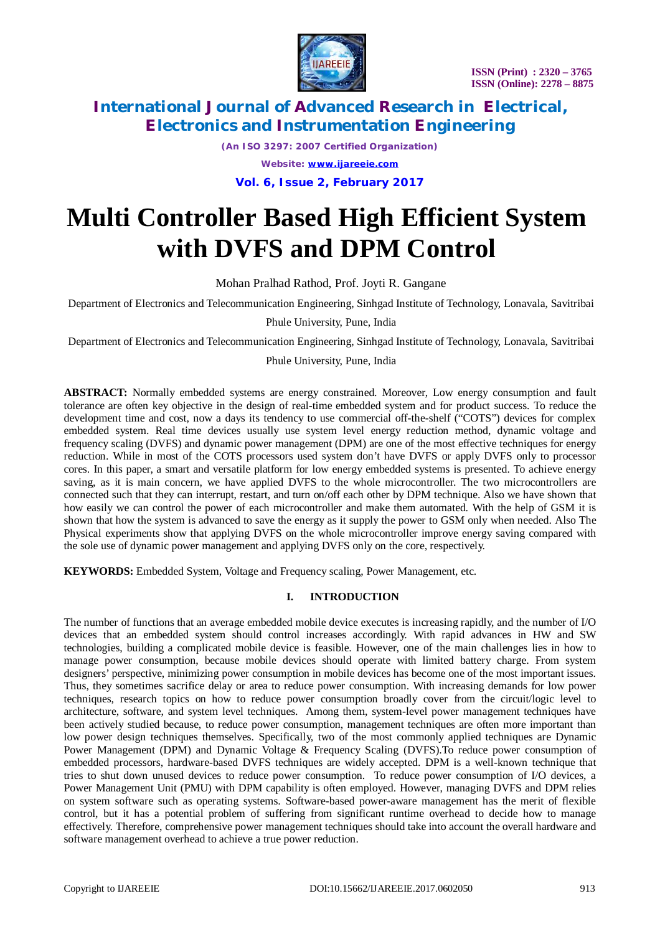

*(An ISO 3297: 2007 Certified Organization) Website: [www.ijareeie.com](http://www.ijareeie.com)*

**Vol. 6, Issue 2, February 2017**

# **Multi Controller Based High Efficient System with DVFS and DPM Control**

Mohan Pralhad Rathod, Prof. Joyti R. Gangane

Department of Electronics and Telecommunication Engineering, Sinhgad Institute of Technology, Lonavala, Savitribai

Phule University, Pune, India

Department of Electronics and Telecommunication Engineering, Sinhgad Institute of Technology, Lonavala, Savitribai

Phule University, Pune, India

**ABSTRACT:** Normally embedded systems are energy constrained. Moreover, Low energy consumption and fault tolerance are often key objective in the design of real-time embedded system and for product success. To reduce the development time and cost, now a days its tendency to use commercial off-the-shelf ("COTS") devices for complex embedded system. Real time devices usually use system level energy reduction method, dynamic voltage and frequency scaling (DVFS) and dynamic power management (DPM) are one of the most effective techniques for energy reduction. While in most of the COTS processors used system don't have DVFS or apply DVFS only to processor cores. In this paper, a smart and versatile platform for low energy embedded systems is presented. To achieve energy saving, as it is main concern, we have applied DVFS to the whole microcontroller. The two microcontrollers are connected such that they can interrupt, restart, and turn on/off each other by DPM technique. Also we have shown that how easily we can control the power of each microcontroller and make them automated. With the help of GSM it is shown that how the system is advanced to save the energy as it supply the power to GSM only when needed. Also The Physical experiments show that applying DVFS on the whole microcontroller improve energy saving compared with the sole use of dynamic power management and applying DVFS only on the core, respectively.

**KEYWORDS:** Embedded System, Voltage and Frequency scaling, Power Management, etc.

### **I. INTRODUCTION**

The number of functions that an average embedded mobile device executes is increasing rapidly, and the number of I/O devices that an embedded system should control increases accordingly. With rapid advances in HW and SW technologies, building a complicated mobile device is feasible. However, one of the main challenges lies in how to manage power consumption, because mobile devices should operate with limited battery charge. From system designers' perspective, minimizing power consumption in mobile devices has become one of the most important issues. Thus, they sometimes sacrifice delay or area to reduce power consumption. With increasing demands for low power techniques, research topics on how to reduce power consumption broadly cover from the circuit/logic level to architecture, software, and system level techniques. Among them, system-level power management techniques have been actively studied because, to reduce power consumption, management techniques are often more important than low power design techniques themselves. Specifically, two of the most commonly applied techniques are Dynamic Power Management (DPM) and Dynamic Voltage & Frequency Scaling (DVFS).To reduce power consumption of embedded processors, hardware-based DVFS techniques are widely accepted. DPM is a well-known technique that tries to shut down unused devices to reduce power consumption. To reduce power consumption of I/O devices, a Power Management Unit (PMU) with DPM capability is often employed. However, managing DVFS and DPM relies on system software such as operating systems. Software-based power-aware management has the merit of flexible control, but it has a potential problem of suffering from significant runtime overhead to decide how to manage effectively. Therefore, comprehensive power management techniques should take into account the overall hardware and software management overhead to achieve a true power reduction.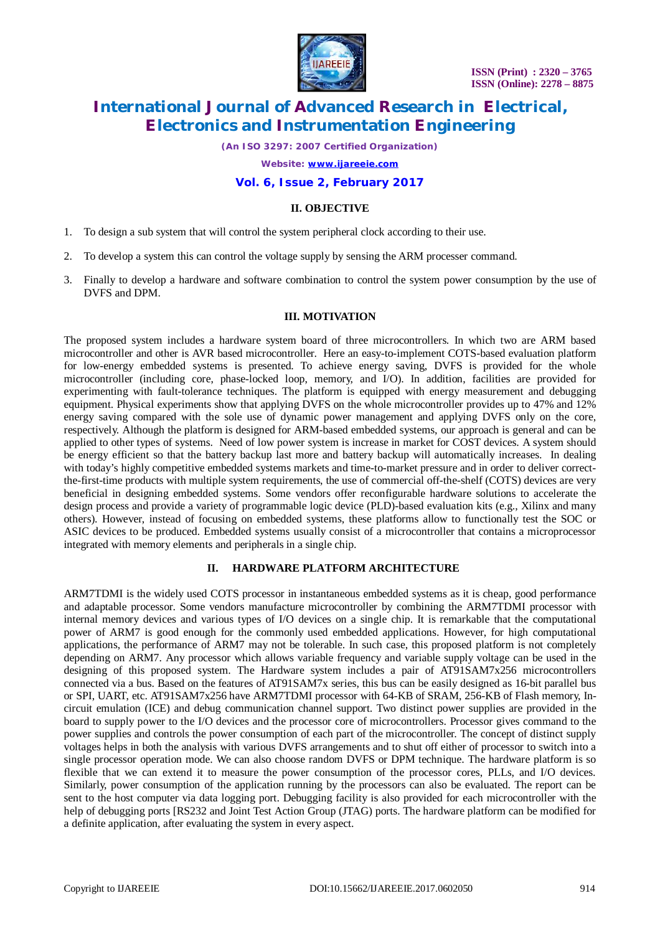

*(An ISO 3297: 2007 Certified Organization)*

*Website: [www.ijareeie.com](http://www.ijareeie.com)*

#### **Vol. 6, Issue 2, February 2017**

#### **II. OBJECTIVE**

- 1. To design a sub system that will control the system peripheral clock according to their use.
- 2. To develop a system this can control the voltage supply by sensing the ARM processer command.
- 3. Finally to develop a hardware and software combination to control the system power consumption by the use of DVFS and DPM.

#### **III. MOTIVATION**

The proposed system includes a hardware system board of three microcontrollers. In which two are ARM based microcontroller and other is AVR based microcontroller. Here an easy-to-implement COTS-based evaluation platform for low-energy embedded systems is presented. To achieve energy saving, DVFS is provided for the whole microcontroller (including core, phase-locked loop, memory, and I/O). In addition, facilities are provided for experimenting with fault-tolerance techniques. The platform is equipped with energy measurement and debugging equipment. Physical experiments show that applying DVFS on the whole microcontroller provides up to 47% and 12% energy saving compared with the sole use of dynamic power management and applying DVFS only on the core, respectively. Although the platform is designed for ARM-based embedded systems, our approach is general and can be applied to other types of systems. Need of low power system is increase in market for COST devices. A system should be energy efficient so that the battery backup last more and battery backup will automatically increases. In dealing with today's highly competitive embedded systems markets and time-to-market pressure and in order to deliver correctthe-first-time products with multiple system requirements, the use of commercial off-the-shelf (COTS) devices are very beneficial in designing embedded systems. Some vendors offer reconfigurable hardware solutions to accelerate the design process and provide a variety of programmable logic device (PLD)-based evaluation kits (e.g., Xilinx and many others). However, instead of focusing on embedded systems, these platforms allow to functionally test the SOC or ASIC devices to be produced. Embedded systems usually consist of a microcontroller that contains a microprocessor integrated with memory elements and peripherals in a single chip.

### **II. HARDWARE PLATFORM ARCHITECTURE**

ARM7TDMI is the widely used COTS processor in instantaneous embedded systems as it is cheap, good performance and adaptable processor. Some vendors manufacture microcontroller by combining the ARM7TDMI processor with internal memory devices and various types of I/O devices on a single chip. It is remarkable that the computational power of ARM7 is good enough for the commonly used embedded applications. However, for high computational applications, the performance of ARM7 may not be tolerable. In such case, this proposed platform is not completely depending on ARM7. Any processor which allows variable frequency and variable supply voltage can be used in the designing of this proposed system. The Hardware system includes a pair of AT91SAM7x256 microcontrollers connected via a bus. Based on the features of AT91SAM7x series, this bus can be easily designed as 16-bit parallel bus or SPI, UART, etc. AT91SAM7x256 have ARM7TDMI processor with 64-KB of SRAM, 256-KB of Flash memory, Incircuit emulation (ICE) and debug communication channel support. Two distinct power supplies are provided in the board to supply power to the I/O devices and the processor core of microcontrollers. Processor gives command to the power supplies and controls the power consumption of each part of the microcontroller. The concept of distinct supply voltages helps in both the analysis with various DVFS arrangements and to shut off either of processor to switch into a single processor operation mode. We can also choose random DVFS or DPM technique. The hardware platform is so flexible that we can extend it to measure the power consumption of the processor cores, PLLs, and I/O devices. Similarly, power consumption of the application running by the processors can also be evaluated. The report can be sent to the host computer via data logging port. Debugging facility is also provided for each microcontroller with the help of debugging ports [RS232 and Joint Test Action Group (JTAG) ports. The hardware platform can be modified for a definite application, after evaluating the system in every aspect.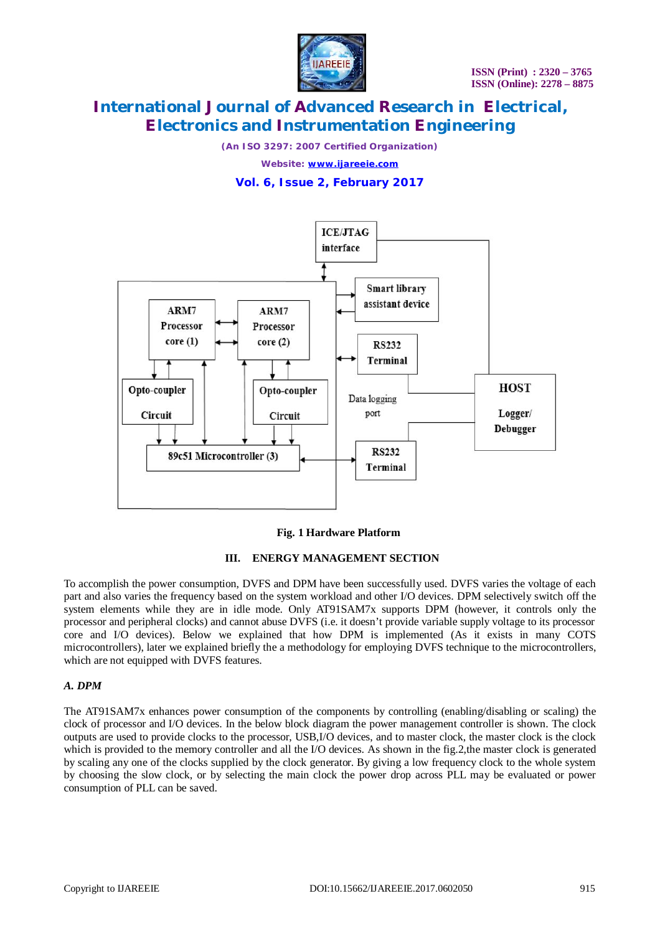

*(An ISO 3297: 2007 Certified Organization)*

*Website: [www.ijareeie.com](http://www.ijareeie.com)*

### **Vol. 6, Issue 2, February 2017**



#### **Fig. 1 Hardware Platform**

#### **III. ENERGY MANAGEMENT SECTION**

To accomplish the power consumption, DVFS and DPM have been successfully used. DVFS varies the voltage of each part and also varies the frequency based on the system workload and other I/O devices. DPM selectively switch off the system elements while they are in idle mode. Only AT91SAM7x supports DPM (however, it controls only the processor and peripheral clocks) and cannot abuse DVFS (i.e. it doesn't provide variable supply voltage to its processor core and I/O devices). Below we explained that how DPM is implemented (As it exists in many COTS microcontrollers), later we explained briefly the a methodology for employing DVFS technique to the microcontrollers, which are not equipped with DVFS features.

#### *A. DPM*

The AT91SAM7x enhances power consumption of the components by controlling (enabling/disabling or scaling) the clock of processor and I/O devices. In the below block diagram the power management controller is shown. The clock outputs are used to provide clocks to the processor, USB,I/O devices, and to master clock, the master clock is the clock which is provided to the memory controller and all the I/O devices. As shown in the fig.2, the master clock is generated by scaling any one of the clocks supplied by the clock generator. By giving a low frequency clock to the whole system by choosing the slow clock, or by selecting the main clock the power drop across PLL may be evaluated or power consumption of PLL can be saved.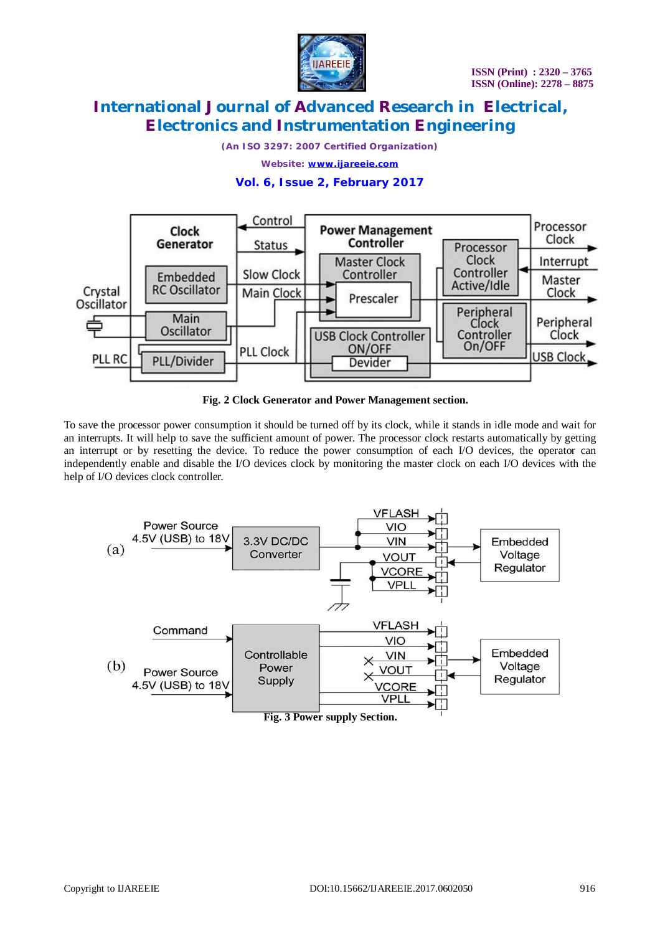

*(An ISO 3297: 2007 Certified Organization)*

*Website: [www.ijareeie.com](http://www.ijareeie.com)*

### **Vol. 6, Issue 2, February 2017**



**Fig. 2 Clock Generator and Power Management section.**

To save the processor power consumption it should be turned off by its clock, while it stands in idle mode and wait for an interrupts. It will help to save the sufficient amount of power. The processor clock restarts automatically by getting an interrupt or by resetting the device. To reduce the power consumption of each I/O devices, the operator can independently enable and disable the I/O devices clock by monitoring the master clock on each I/O devices with the help of I/O devices clock controller.



**Fig. 3 Power supply Section.**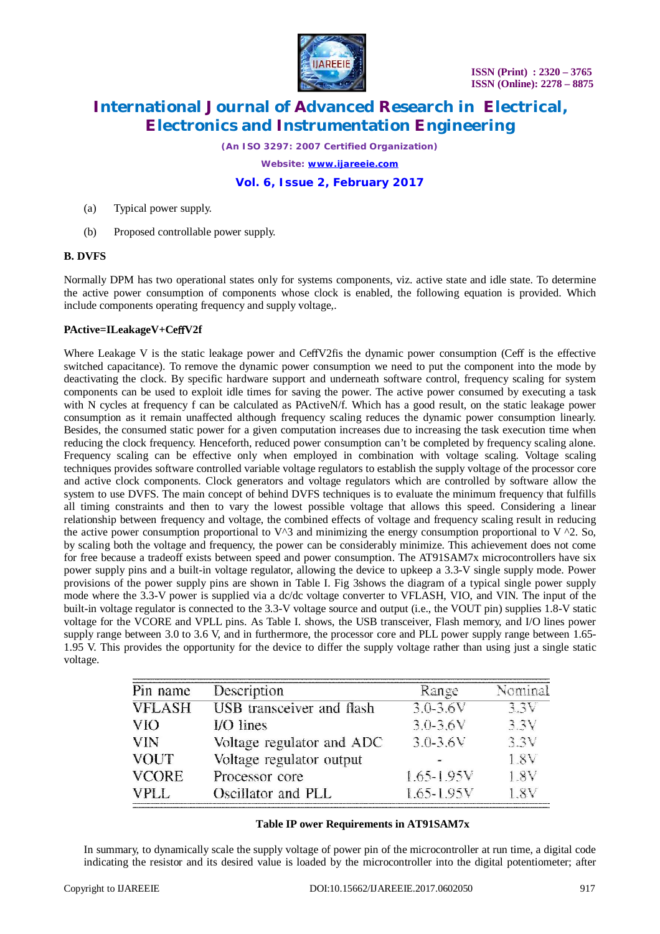

*(An ISO 3297: 2007 Certified Organization)*

*Website: [www.ijareeie.com](http://www.ijareeie.com)*

**Vol. 6, Issue 2, February 2017**

(a) Typical power supply.

(b) Proposed controllable power supply.

#### **B. DVFS**

Normally DPM has two operational states only for systems components, viz. active state and idle state. To determine the active power consumption of components whose clock is enabled, the following equation is provided. Which include components operating frequency and supply voltage,.

#### **PActive=ILeakageV+CeffV2f**

Where Leakage V is the static leakage power and CeffV2fis the dynamic power consumption (Ceff is the effective switched capacitance). To remove the dynamic power consumption we need to put the component into the mode by deactivating the clock. By specific hardware support and underneath software control, frequency scaling for system components can be used to exploit idle times for saving the power. The active power consumed by executing a task with N cycles at frequency f can be calculated as PActiveN/f. Which has a good result, on the static leakage power consumption as it remain unaffected although frequency scaling reduces the dynamic power consumption linearly. Besides, the consumed static power for a given computation increases due to increasing the task execution time when reducing the clock frequency. Henceforth, reduced power consumption can't be completed by frequency scaling alone. Frequency scaling can be effective only when employed in combination with voltage scaling. Voltage scaling techniques provides software controlled variable voltage regulators to establish the supply voltage of the processor core and active clock components. Clock generators and voltage regulators which are controlled by software allow the system to use DVFS. The main concept of behind DVFS techniques is to evaluate the minimum frequency that fulfills all timing constraints and then to vary the lowest possible voltage that allows this speed. Considering a linear relationship between frequency and voltage, the combined effects of voltage and frequency scaling result in reducing the active power consumption proportional to  $V^3$  and minimizing the energy consumption proportional to V  $^2$ . So, by scaling both the voltage and frequency, the power can be considerably minimize. This achievement does not come for free because a tradeoff exists between speed and power consumption. The AT91SAM7x microcontrollers have six power supply pins and a built-in voltage regulator, allowing the device to upkeep a 3.3-V single supply mode. Power provisions of the power supply pins are shown in Table I. Fig 3shows the diagram of a typical single power supply mode where the 3.3-V power is supplied via a dc/dc voltage converter to VFLASH, VIO, and VIN. The input of the built-in voltage regulator is connected to the 3.3-V voltage source and output (i.e., the VOUT pin) supplies 1.8-V static voltage for the VCORE and VPLL pins. As Table I. shows, the USB transceiver, Flash memory, and I/O lines power supply range between 3.0 to 3.6 V, and in furthermore, the processor core and PLL power supply range between 1.65-1.95 V. This provides the opportunity for the device to differ the supply voltage rather than using just a single static voltage.

| Pin name      | Description                      | Range          | Nominal |
|---------------|----------------------------------|----------------|---------|
| <b>VFLASH</b> | <b>USB</b> transceiver and flash | $3.0 - 3.6 V$  | 3.3V    |
| <b>VIO</b>    | $UO lines$                       | $3.0 - 3.6V$   | 3.3V    |
| <b>VIN</b>    | Voltage regulator and ADC        | $3.0 - 3.6V$   | 3.3V    |
| <b>VOUT</b>   | Voltage regulator output         |                | 1.8V    |
| <b>VCORE</b>  | Processor core                   | $1.65 - 1.95V$ | 1.8V    |
| VPLL          | Oscillator and PLL               | $1.65 - 1.95V$ | 1.8V    |

#### **Table IP ower Requirements in AT91SAM7x**

In summary, to dynamically scale the supply voltage of power pin of the microcontroller at run time, a digital code indicating the resistor and its desired value is loaded by the microcontroller into the digital potentiometer; after